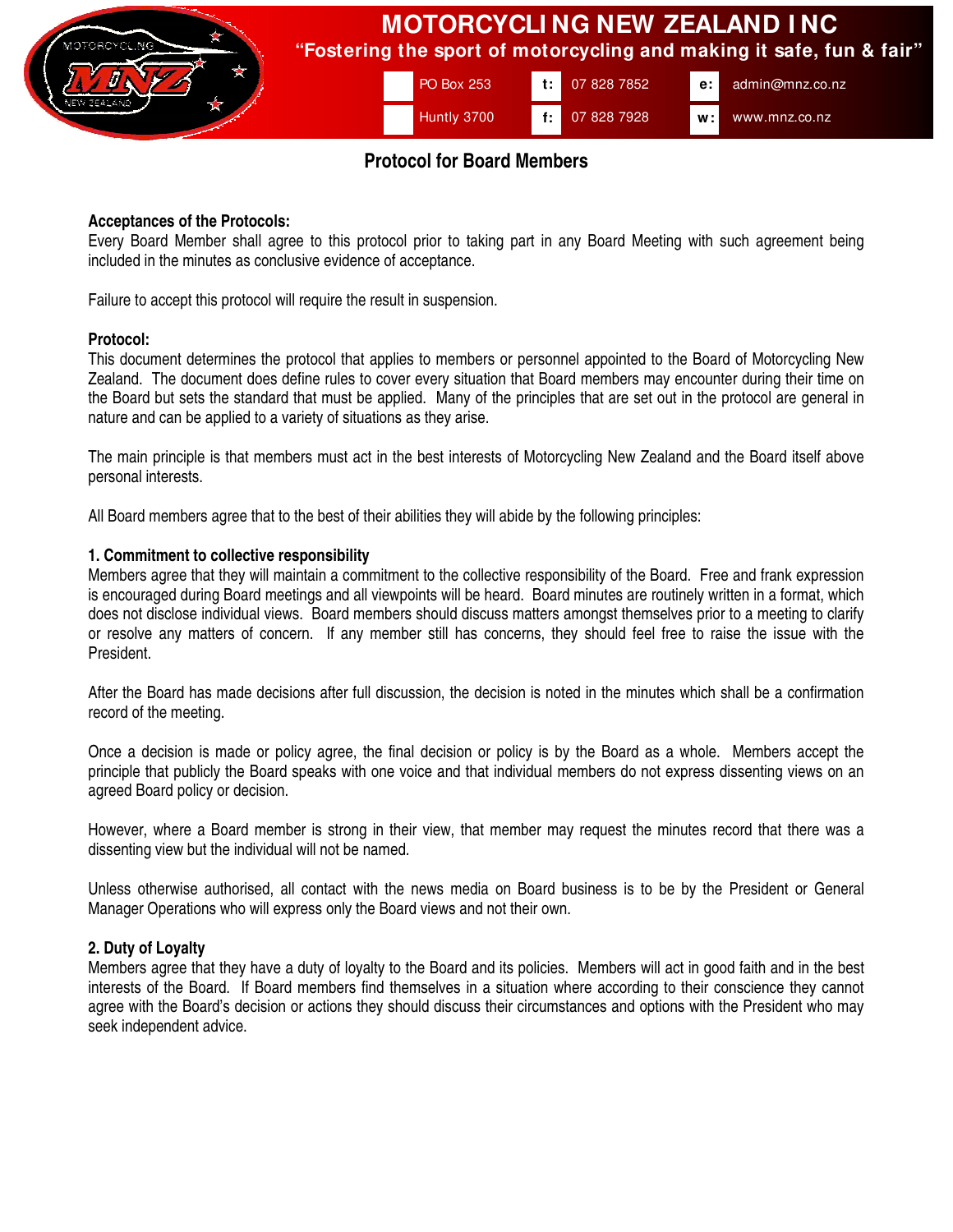

# **Protocol for Board Members**

### **Acceptances of the Protocols:**

Every Board Member shall agree to this protocol prior to taking part in any Board Meeting with such agreement being included in the minutes as conclusive evidence of acceptance.

Failure to accept this protocol will require the result in suspension.

#### **Protocol:**

This document determines the protocol that applies to members or personnel appointed to the Board of Motorcycling New Zealand. The document does define rules to cover every situation that Board members may encounter during their time on the Board but sets the standard that must be applied. Many of the principles that are set out in the protocol are general in nature and can be applied to a variety of situations as they arise.

The main principle is that members must act in the best interests of Motorcycling New Zealand and the Board itself above personal interests.

All Board members agree that to the best of their abilities they will abide by the following principles:

### **1. Commitment to collective responsibility**

Members agree that they will maintain a commitment to the collective responsibility of the Board. Free and frank expression is encouraged during Board meetings and all viewpoints will be heard. Board minutes are routinely written in a format, which does not disclose individual views. Board members should discuss matters amongst themselves prior to a meeting to clarify or resolve any matters of concern. If any member still has concerns, they should feel free to raise the issue with the President.

After the Board has made decisions after full discussion, the decision is noted in the minutes which shall be a confirmation record of the meeting.

Once a decision is made or policy agree, the final decision or policy is by the Board as a whole. Members accept the principle that publicly the Board speaks with one voice and that individual members do not express dissenting views on an agreed Board policy or decision.

However, where a Board member is strong in their view, that member may request the minutes record that there was a dissenting view but the individual will not be named.

Unless otherwise authorised, all contact with the news media on Board business is to be by the President or General Manager Operations who will express only the Board views and not their own.

# **2. Duty of Loyalty**

Members agree that they have a duty of loyalty to the Board and its policies. Members will act in good faith and in the best interests of the Board. If Board members find themselves in a situation where according to their conscience they cannot agree with the Board's decision or actions they should discuss their circumstances and options with the President who may seek independent advice.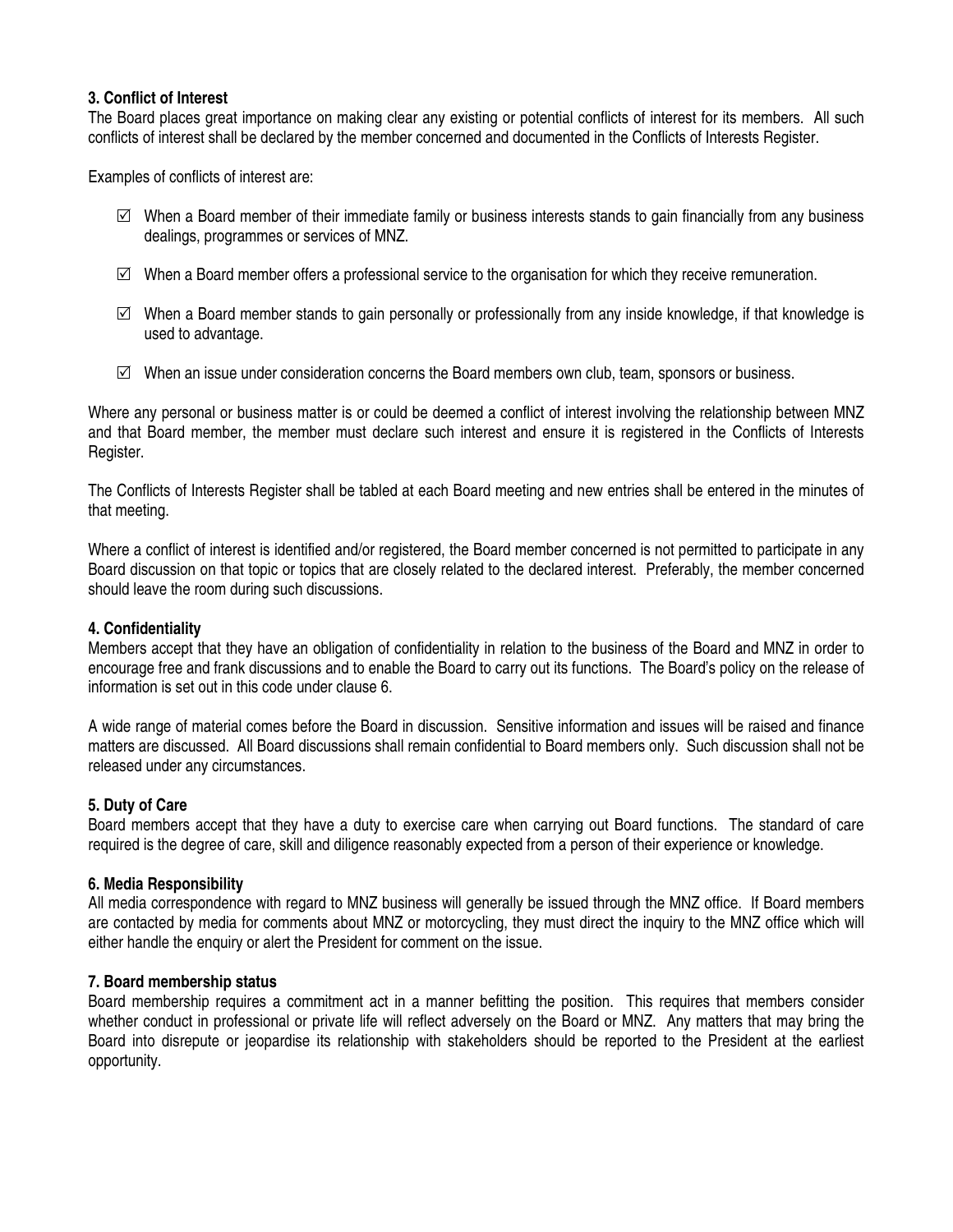# **3. Conflict of Interest**

The Board places great importance on making clear any existing or potential conflicts of interest for its members. All such conflicts of interest shall be declared by the member concerned and documented in the Conflicts of Interests Register.

Examples of conflicts of interest are:

- $\boxtimes$  When a Board member of their immediate family or business interests stands to gain financially from any business dealings, programmes or services of MNZ.
- $\boxtimes$  When a Board member offers a professional service to the organisation for which they receive remuneration.
- $\boxtimes$  When a Board member stands to gain personally or professionally from any inside knowledge, if that knowledge is used to advantage.
- $\boxtimes$  When an issue under consideration concerns the Board members own club, team, sponsors or business.

Where any personal or business matter is or could be deemed a conflict of interest involving the relationship between MNZ and that Board member, the member must declare such interest and ensure it is registered in the Conflicts of Interests Register.

The Conflicts of Interests Register shall be tabled at each Board meeting and new entries shall be entered in the minutes of that meeting.

Where a conflict of interest is identified and/or registered, the Board member concerned is not permitted to participate in any Board discussion on that topic or topics that are closely related to the declared interest. Preferably, the member concerned should leave the room during such discussions.

# **4. Confidentiality**

Members accept that they have an obligation of confidentiality in relation to the business of the Board and MNZ in order to encourage free and frank discussions and to enable the Board to carry out its functions. The Board's policy on the release of information is set out in this code under clause 6.

A wide range of material comes before the Board in discussion. Sensitive information and issues will be raised and finance matters are discussed. All Board discussions shall remain confidential to Board members only. Such discussion shall not be released under any circumstances.

# **5. Duty of Care**

Board members accept that they have a duty to exercise care when carrying out Board functions. The standard of care required is the degree of care, skill and diligence reasonably expected from a person of their experience or knowledge.

# **6. Media Responsibility**

All media correspondence with regard to MNZ business will generally be issued through the MNZ office. If Board members are contacted by media for comments about MNZ or motorcycling, they must direct the inquiry to the MNZ office which will either handle the enquiry or alert the President for comment on the issue.

# **7. Board membership status**

Board membership requires a commitment act in a manner befitting the position. This requires that members consider whether conduct in professional or private life will reflect adversely on the Board or MNZ. Any matters that may bring the Board into disrepute or jeopardise its relationship with stakeholders should be reported to the President at the earliest opportunity.